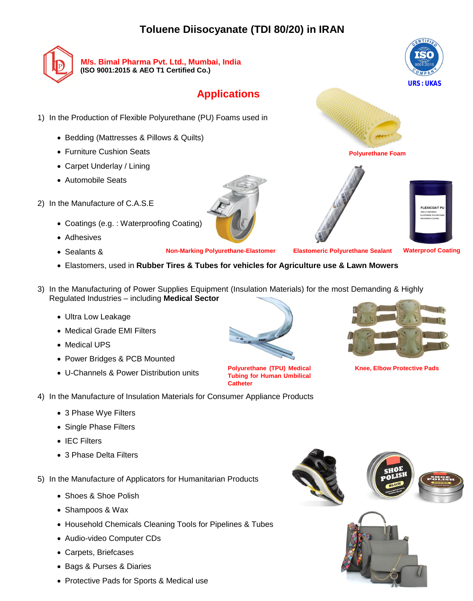## **Toluene Diisocyanate (TDI 80/20) in IRAN**



**M/s. Bimal Pharma Pvt. Ltd., Mumbai, India (ISO 9001:2015 & AEO T1 Certified Co.)** 

## **Applications**

- 1) In the Production of Flexible Polyurethane (PU) Foams used in
	- Bedding (Mattresses & Pillows & Quilts)
	- Furniture Cushion Seats
	- Carpet Underlay / Lining
	- Automobile Seats
- 2) In the Manufacture of C.A.S.E
	- Coatings (e.g. : Waterproofing Coating)
	- Adhesives
	- Sealants &

- 4) In the Manufacture of Insulation Materials for Consumer Appliance Products
	- 3 Phase Wye Filters
	- Single Phase Filters
	- IEC Filters
	- 3 Phase Delta Filters
- 5) In the Manufacture of Applicators for Humanitarian Products
	- Shoes & Shoe Polish
	- Shampoos & Wax
	- Household Chemicals Cleaning Tools for Pipelines & Tubes
	- Audio-video Computer CDs
	- Carpets, Briefcases
	- Bags & Purses & Diaries
	- Protective Pads for Sports & Medical use





- **Waterproof Coating**
- Elastomers, used in **Rubber Tires & Tubes for vehicles for Agriculture use & Lawn Mowers**
- 3) In the Manufacturing of Power Supplies Equipment (Insulation Materials) for the most Demanding & Highly Regulated Industries – including **Medical Sector**
	- Ultra Low Leakage
	- Medical Grade EMI Filters
	- Medical UPS
	- Power Bridges & PCB Mounted
	- U-Channels & Power Distribution units







**Polyurethane Foam**





**Polyurethane (TPU) Medical Tubing for Human Umbilical** 





**Knee, Elbow Protective Pads**